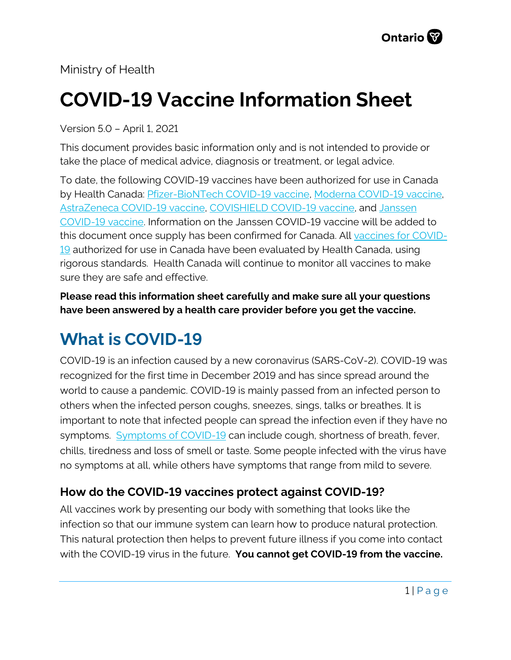Ministry of Health

# **COVID-19 Vaccine Information Sheet**

Version 5.0 – April 1, 2021

This document provides basic information only and is not intended to provide or take the place of medical advice, diagnosis or treatment, or legal advice.

To date, the following COVID-19 vaccines have been authorized for use in Canada by Health Canada: [Pfizer-BioNTech COVID-19 vaccine,](https://covid-vaccine.canada.ca/pfizer-biontech-covid-19-vaccine/product-details) [Moderna COVID-19 vaccine,](https://covid-vaccine.canada.ca/covid-19-vaccine-moderna/product-details) [AstraZeneca COVID-19 vaccine,](https://covid-vaccine.canada.ca/astrazeneca-covid-19-vaccine/product-details) [COVISHIELD COVID-19 vaccine,](https://covid-vaccine.canada.ca/covishield/product-details) and [Janssen](https://covid-vaccine.canada.ca/janssen-covid-19-vaccine/product-details)  [COVID-19 vaccine.](https://covid-vaccine.canada.ca/janssen-covid-19-vaccine/product-details) Information on the Janssen COVID-19 vaccine will be added to this document once supply has been confirmed for Canada. All [vaccines for COVID-](https://www.canada.ca/en/public-health/services/diseases/coronavirus-disease-covid-19/vaccines.htm)[19](https://www.canada.ca/en/public-health/services/diseases/coronavirus-disease-covid-19/vaccines.htm) authorized for use in Canada have been evaluated by Health Canada, using rigorous standards. Health Canada will continue to monitor all vaccines to make sure they are safe and effective.

**Please read this information sheet carefully and make sure all your questions have been answered by a health care provider before you get the vaccine.**

## **What is COVID-19**

COVID-19 is an infection caused by a new coronavirus (SARS-CoV-2). COVID-19 was recognized for the first time in December 2019 and has since spread around the world to cause a pandemic. COVID-19 is mainly passed from an infected person to others when the infected person coughs, sneezes, sings, talks or breathes. It is important to note that infected people can spread the infection even if they have no symptoms. [Symptoms of COVID-19](https://www.canada.ca/en/public-health/services/diseases/2019-novel-coronavirus-infection/symptoms.html) can include cough, shortness of breath, fever, chills, tiredness and loss of smell or taste. Some people infected with the virus have no symptoms at all, while others have symptoms that range from mild to severe.

#### **How do the COVID-19 vaccines protect against COVID-19?**

All vaccines work by presenting our body with something that looks like the infection so that our immune system can learn how to produce natural protection. This natural protection then helps to prevent future illness if you come into contact with the COVID-19 virus in the future. **You cannot get COVID-19 from the vaccine.**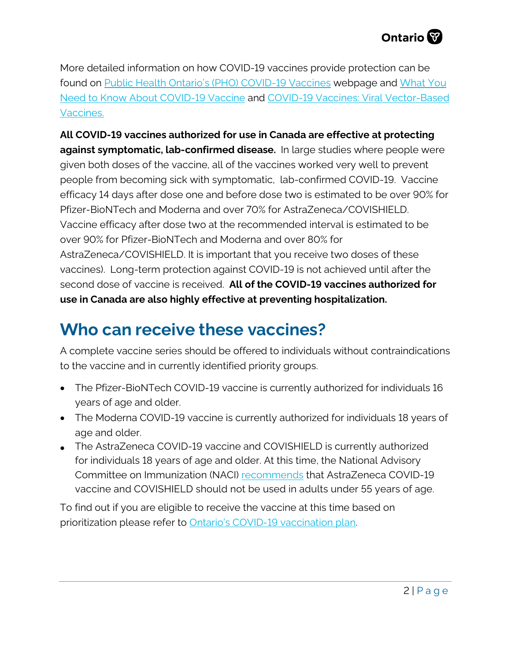More detailed information on how COVID-19 vaccines provide protection can be found on [Public Health Ontario's \(PHO\) COVID-19 Vaccines](https://www.publichealthontario.ca/en/diseases-and-conditions/infectious-diseases/respiratory-diseases/novel-coronavirus) webpage and [What You](https://www.publichealthontario.ca/-/media/documents/ncov/factsheet/2021/01/vac/factsheet-covid-19-vaccines.pdf?la=en)  [Need to Know About COVID-19 Vaccine](https://www.publichealthontario.ca/-/media/documents/ncov/factsheet/2021/01/vac/factsheet-covid-19-vaccines.pdf?la=en) and [COVID-19 Vaccines: Viral Vector-Based](https://www.publichealthontario.ca/-/media/documents/ncov/vaccines/2021/03/covid-19-focus-on-viral-vector-based-vaccines.pdf?la=en)  [Vaccines.](https://www.publichealthontario.ca/-/media/documents/ncov/vaccines/2021/03/covid-19-focus-on-viral-vector-based-vaccines.pdf?la=en)

**All COVID-19 vaccines authorized for use in Canada are effective at protecting against symptomatic, lab-confirmed disease.** In large studies where people were given both doses of the vaccine, all of the vaccines worked very well to prevent people from becoming sick with symptomatic, lab-confirmed COVID-19. Vaccine efficacy 14 days after dose one and before dose two is estimated to be over 90% for Pfizer-BioNTech and Moderna and over 70% for AstraZeneca/COVISHIELD. Vaccine efficacy after dose two at the recommended interval is estimated to be over 90% for Pfizer-BioNTech and Moderna and over 80% for AstraZeneca/COVISHIELD. It is important that you receive two doses of these vaccines). Long-term protection against COVID-19 is not achieved until after the second dose of vaccine is received. **All of the COVID-19 vaccines authorized for use in Canada are also highly effective at preventing hospitalization.**

#### **Who can receive these vaccines?**

A complete vaccine series should be offered to individuals without contraindications to the vaccine and in currently identified priority groups.

- The Pfizer-BioNTech COVID-19 vaccine is currently authorized for individuals 16 years of age and older.
- The Moderna COVID-19 vaccine is currently authorized for individuals 18 years of age and older.
- The AstraZeneca COVID-19 vaccine and COVISHIELD is currently authorized for individuals 18 years of age and older. At this time, the National Advisory Committee on Immunization (NACI) [recommends](https://www.canada.ca/en/public-health/services/immunization/national-advisory-committee-on-immunization-naci/rapid-response-recommended-use-astrazeneca-covid-19-vaccine-younger-adults.html) that AstraZeneca COVID-19 vaccine and COVISHIELD should not be used in adults under 55 years of age.

To find out if you are eligible to receive the vaccine at this time based on prioritization please refer t[o Ontario's COVID-19 vaccination plan](https://covid-19.ontario.ca/ontarios-covid-19-vaccination-plan).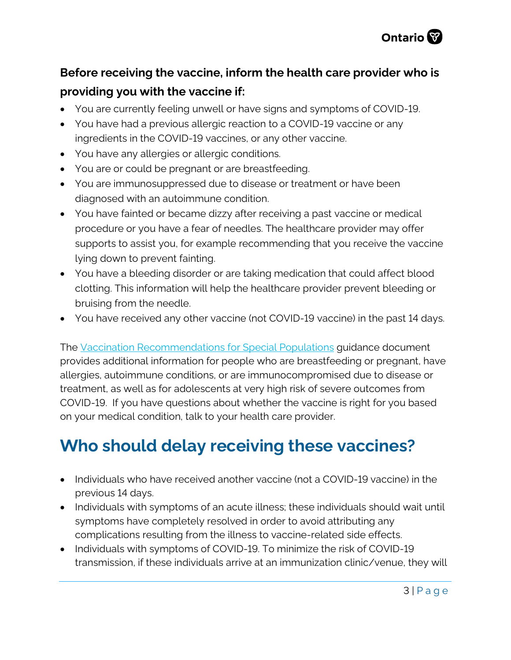

#### **Before receiving the vaccine, inform the health care provider who is providing you with the vaccine if:**

- You are currently feeling unwell or have signs and symptoms of COVID-19.
- You have had a previous allergic reaction to a COVID-19 vaccine or any ingredients in the COVID-19 vaccines, or any other vaccine.
- You have any allergies or allergic conditions.
- You are or could be pregnant or are breastfeeding.
- You are immunosuppressed due to disease or treatment or have been diagnosed with an autoimmune condition.
- You have fainted or became dizzy after receiving a past vaccine or medical procedure or you have a fear of needles. The healthcare provider may offer supports to assist you, for example recommending that you receive the vaccine lying down to prevent fainting.
- You have a bleeding disorder or are taking medication that could affect blood clotting. This information will help the healthcare provider prevent bleeding or bruising from the needle.
- You have received any other vaccine (not COVID-19 vaccine) in the past 14 days.

The [Vaccination Recommendations for Special Populations](https://www.health.gov.on.ca/en/pro/programs/publichealth/coronavirus/docs/vaccine/COVID-19_vaccination_rec_special_populations.pdf) guidance document provides additional information for people who are breastfeeding or pregnant, have allergies, autoimmune conditions, or are immunocompromised due to disease or treatment, as well as for adolescents at very high risk of severe outcomes from COVID-19. If you have questions about whether the vaccine is right for you based on your medical condition, talk to your health care provider.

## **Who should delay receiving these vaccines?**

- Individuals who have received another vaccine (not a COVID-19 vaccine) in the previous 14 days.
- Individuals with symptoms of an acute illness; these individuals should wait until symptoms have completely resolved in order to avoid attributing any complications resulting from the illness to vaccine-related side effects.
- Individuals with symptoms of COVID-19. To minimize the risk of COVID-19 transmission, if these individuals arrive at an immunization clinic/venue, they will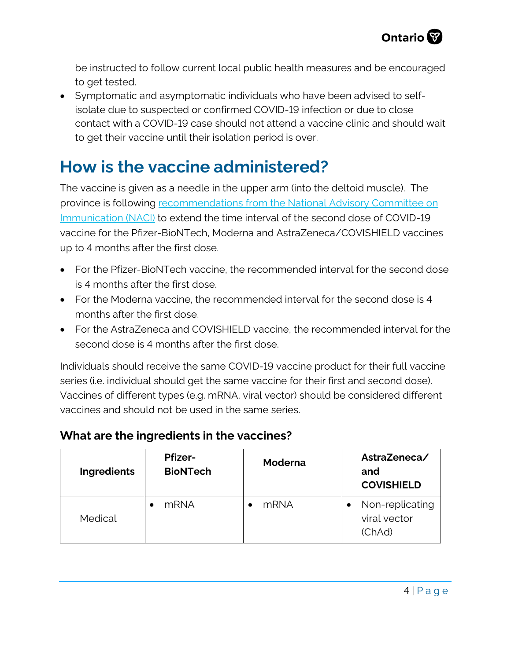

be instructed to follow current local public health measures and be encouraged to get tested.

• Symptomatic and asymptomatic individuals who have been advised to selfisolate due to suspected or confirmed COVID-19 infection or due to close contact with a COVID-19 case should not attend a vaccine clinic and should wait to get their vaccine until their isolation period is over.

### **How is the vaccine administered?**

The vaccine is given as a needle in the upper arm (into the deltoid muscle). The province is following [recommendations from the National Advisory Committee on](https://www.canada.ca/en/public-health/services/immunization/national-advisory-committee-on-immunization-naci/recommendations-use-covid-19-vaccines.html)  [Immunication \(NACI\)](https://www.canada.ca/en/public-health/services/immunization/national-advisory-committee-on-immunization-naci/recommendations-use-covid-19-vaccines.html) to extend the time interval of the second dose of COVID-19 vaccine for the Pfizer-BioNTech, Moderna and AstraZeneca/COVISHIELD vaccines up to 4 months after the first dose.

- For the Pfizer-BioNTech vaccine, the recommended interval for the second dose is 4 months after the first dose.
- For the Moderna vaccine, the recommended interval for the second dose is 4 months after the first dose.
- For the AstraZeneca and COVISHIELD vaccine, the recommended interval for the second dose is 4 months after the first dose.

Individuals should receive the same COVID-19 vaccine product for their full vaccine series (i.e. individual should get the same vaccine for their first and second dose). Vaccines of different types (e.g. mRNA, viral vector) should be considered different vaccines and should not be used in the same series.

#### **What are the ingredients in the vaccines?**

| Ingredients | <b>Pfizer-</b><br><b>BioNTech</b> | <b>Moderna</b> | AstraZeneca/<br>and<br><b>COVISHIELD</b>  |
|-------------|-----------------------------------|----------------|-------------------------------------------|
| Medical     | mRNA                              | mRNA           | Non-replicating<br>viral vector<br>(ChAd) |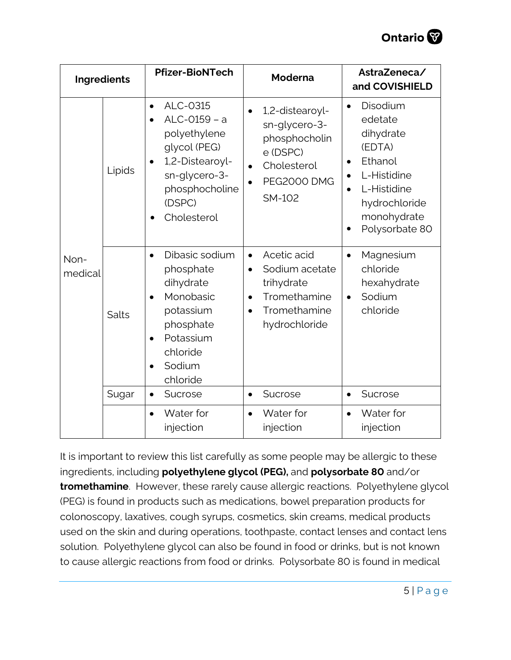

|                 | Ingredients | <b>Pfizer-BioNTech</b>                                                                                                                                            | <b>Moderna</b>                                                                                                                                   | AstraZeneca/<br>and COVISHIELD                                                                                                                                                            |
|-----------------|-------------|-------------------------------------------------------------------------------------------------------------------------------------------------------------------|--------------------------------------------------------------------------------------------------------------------------------------------------|-------------------------------------------------------------------------------------------------------------------------------------------------------------------------------------------|
|                 | Lipids      | ALC-0315<br>$\bullet$<br>ALC-0159 - a<br>polyethylene<br>glycol (PEG)<br>1,2-Distearoyl-<br>$\bullet$<br>sn-glycero-3-<br>phosphocholine<br>(DSPC)<br>Cholesterol | 1,2-distearoyl-<br>sn-glycero-3-<br>phosphocholin<br>e (DSPC)<br>Cholesterol<br>$\bullet$<br><b>PEG2000 DMG</b><br><b>SM-102</b>                 | Disodium<br>$\bullet$<br>edetate<br>dihydrate<br>(EDTA)<br>Ethanol<br>$\bullet$<br>L-Histidine<br>$\bullet$<br>L-Histidine<br>hydrochloride<br>monohydrate<br>Polysorbate 80<br>$\bullet$ |
| Non-<br>medical | Salts       | Dibasic sodium<br>$\bullet$<br>phosphate<br>dihydrate<br>Monobasic<br>potassium<br>phosphate<br>Potassium<br>chloride<br>Sodium<br>chloride                       | Acetic acid<br>$\bullet$<br>Sodium acetate<br>$\bullet$<br>trihydrate<br>Tromethamine<br>$\bullet$<br>Tromethamine<br>$\bullet$<br>hydrochloride | Magnesium<br>$\bullet$<br>chloride<br>hexahydrate<br>Sodium<br>$\bullet$<br>chloride                                                                                                      |
|                 | Sugar       | Sucrose<br>$\bullet$                                                                                                                                              | Sucrose<br>$\bullet$                                                                                                                             | Sucrose<br>$\bullet$                                                                                                                                                                      |
|                 |             | Water for<br>injection                                                                                                                                            | Water for<br>$\bullet$<br>injection                                                                                                              | Water for<br>$\bullet$<br>injection                                                                                                                                                       |

It is important to review this list carefully as some people may be allergic to these ingredients, including **polyethylene glycol (PEG),** and **polysorbate 80** and/or **tromethamine**. However, these rarely cause allergic reactions. Polyethylene glycol (PEG) is found in products such as medications, bowel preparation products for colonoscopy, laxatives, cough syrups, cosmetics, skin creams, medical products used on the skin and during operations, toothpaste, contact lenses and contact lens solution. Polyethylene glycol can also be found in food or drinks, but is not known to cause allergic reactions from food or drinks. Polysorbate 80 is found in medical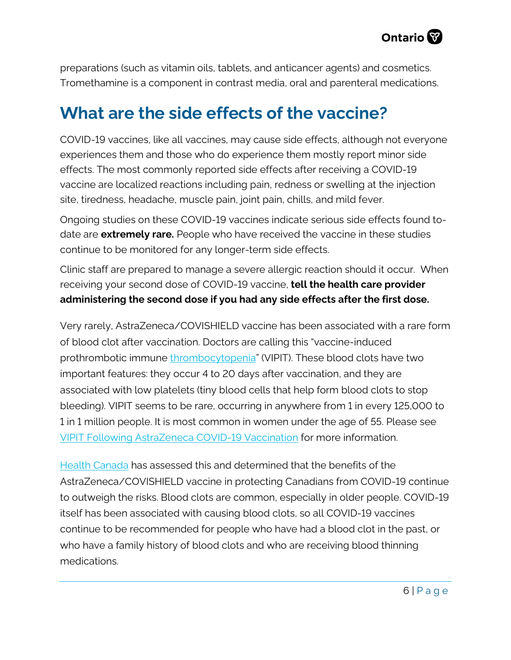preparations (such as vitamin oils, tablets, and anticancer agents) and cosmetics. Tromethamine is a component in contrast media, oral and parenteral medications.

#### **What are the side effects of the vaccine?**

COVID-19 vaccines, like all vaccines, may cause side effects, although not everyone experiences them and those who do experience them mostly report minor side effects. The most commonly reported side effects after receiving a COVID-19 vaccine are localized reactions including pain, redness or swelling at the injection site, tiredness, headache, muscle pain, joint pain, chills, and mild fever.

Ongoing studies on these COVID-19 vaccines indicate serious side effects found todate are **extremely rare.** People who have received the vaccine in these studies continue to be monitored for any longer-term side effects.

Clinic staff are prepared to manage a severe allergic reaction should it occur. When receiving your second dose of COVID-19 vaccine, **tell the health care provider administering the second dose if you had any side effects after the first dose.**

Very rarely, AstraZeneca/COVISHIELD vaccine has been associated with a rare form of blood clot after vaccination. Doctors are calling this "vaccine-induced prothrombotic immune [thrombocytopenia"](https://covid19-sciencetable.ca/glossary/#thrombocytopenia) (VIPIT). These blood clots have two important features: they occur 4 to 20 days after vaccination, and they are associated with low platelets (tiny blood cells that help form blood clots to stop bleeding). VIPIT seems to be rare, occurring in anywhere from 1 in every 125,000 to 1 in 1 million people. It is most common in women under the age of 55. Please see [VIPIT Following AstraZeneca COVID-19 Vaccination](https://covid19-sciencetable.ca/sciencebrief/vaccine-induced-prothrombotic-immune-thrombocytopenia-vipit-following-astrazeneca-covid-19-vaccination/) for more information.

[Health Canada](https://www.canada.ca/en/health-canada/news/2021/03/health-canada-confirms-that-the-benefits-of-the-astrazeneca-covid-19-vaccine-continue-to-outweigh-the-risks-for-use-in-canada.html) has assessed this and determined that the benefits of the AstraZeneca/COVISHIELD vaccine in protecting Canadians from COVID-19 continue to outweigh the risks. Blood clots are common, especially in older people. COVID-19 itself has been associated with causing blood clots, so all COVID-19 vaccines continue to be recommended for people who have had a blood clot in the past, or who have a family history of blood clots and who are receiving blood thinning medications.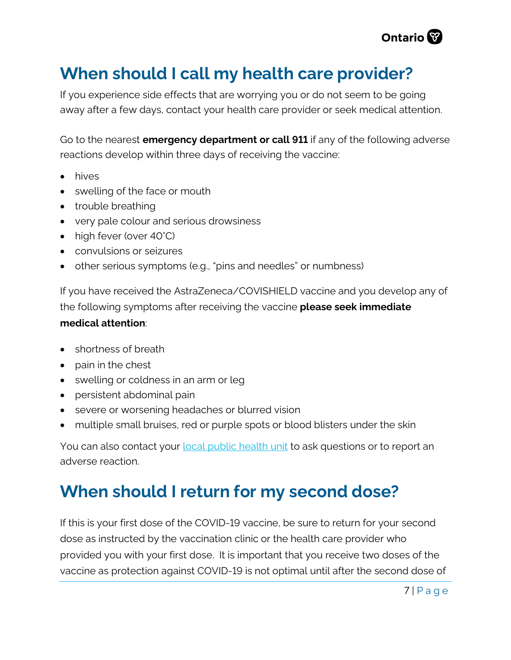

#### **When should I call my health care provider?**

If you experience side effects that are worrying you or do not seem to be going away after a few days, contact your health care provider or seek medical attention.

Go to the nearest **emergency department or call 911** if any of the following adverse reactions develop within three days of receiving the vaccine:

- hives
- swelling of the face or mouth
- trouble breathing
- very pale colour and serious drowsiness
- high fever (over 40°C)
- convulsions or seizures
- other serious symptoms (e.g., "pins and needles" or numbness)

If you have received the AstraZeneca/COVISHIELD vaccine and you develop any of the following symptoms after receiving the vaccine **please seek immediate medical attention**:

- shortness of breath
- pain in the chest
- swelling or coldness in an arm or leg
- persistent abdominal pain
- severe or worsening headaches or blurred vision
- multiple small bruises, red or purple spots or blood blisters under the skin

You can also contact your **local public health unit to ask questions or to report an** adverse reaction.

#### **When should I return for my second dose?**

If this is your first dose of the COVID-19 vaccine, be sure to return for your second dose as instructed by the vaccination clinic or the health care provider who provided you with your first dose. It is important that you receive two doses of the vaccine as protection against COVID-19 is not optimal until after the second dose of